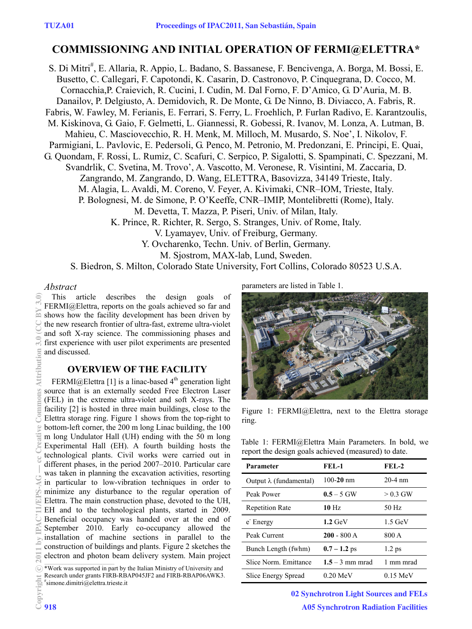# **COMMISSIONING AND INITIAL OPERATION OF FERMI@ELETTRA\***

S. Di Mitri<sup>#</sup>, E. Allaria, R. Appio, L. Badano, S. Bassanese, F. Bencivenga, A. Borga, M. Bossi, E. Busetto, C. Callegari, F. Capotondi, K. Casarin, D. Castronovo, P. Cinquegrana, D. Cocco, M. Cornacchia,P. Craievich, R. Cucini, I. Cudin, M. Dal Forno, F. D'Amico, G. D'Auria, M. B. Danailov, P. Delgiusto, A. Demidovich, R. De Monte, G. De Ninno, B. Diviacco, A. Fabris, R. Fabris, W. Fawley, M. Ferianis, E. Ferrari, S. Ferry, L. Froehlich, P. Furlan Radivo, E. Karantzoulis, M. Kiskinova, G. Gaio, F. Gelmetti, L. Giannessi, R. Gobessi, R. Ivanov, M. Lonza, A. Lutman, B. Mahieu, C. Masciovecchio, R. H. Menk, M. Milloch, M. Musardo, S. Noe', I. Nikolov, F. Parmigiani, L. Pavlovic, E. Pedersoli, G. Penco, M. Petronio, M. Predonzani, E. Principi, E. Quai, G. Quondam, F. Rossi, L. Rumiz, C. Scafuri, C. Serpico, P. Sigalotti, S. Spampinati, C. Spezzani, M. Svandrlik, C. Svetina, M. Trovo', A. Vascotto, M. Veronese, R. Visintini, M. Zaccaria, D. Zangrando, M. Zangrando, D. Wang, ELETTRA, Basovizza, 34149 Trieste, Italy. M. Alagia, L. Avaldi, M. Coreno, V. Feyer, A. Kivimaki, CNR–IOM, Trieste, Italy. P. Bolognesi, M. de Simone, P. O'Keeffe, CNR–IMIP, Montelibretti (Rome), Italy. M. Devetta, T. Mazza, P. Piseri, Univ. of Milan, Italy. K. Prince, R. Richter, R. Sergo, S. Stranges, Univ. of Rome, Italy. V. Lyamayev, Univ. of Freiburg, Germany. Y. Ovcharenko, Techn. Univ. of Berlin, Germany. M. Sjostrom, MAX-lab, Lund, Sweden. S. Biedron, S. Milton, Colorado State University, Fort Collins, Colorado 80523 U.S.A.

#### *Abstract*

This article describes the design goals of FERMI@Elettra, reports on the goals achieved so far and shows how the facility development has been driven by the new research frontier of ultra-fast, extreme ultra-violet and soft X-ray science. The commissioning phases and first experience with user pilot experiments are presented and discussed.

# **OVERVIEW OF THE FACILITY**

FERMI@Elettra [1] is a linac-based  $4<sup>th</sup>$  generation light source that is an externally seeded Free Electron Laser (FEL) in the extreme ultra-violet and soft X-rays. The facility [2] is hosted in three main buildings, close to the Elettra storage ring. Figure 1 shows from the top-right to bottom-left corner, the 200 m long Linac building, the 100 m long Undulator Hall (UH) ending with the 50 m long Experimental Hall (EH). A fourth building hosts the technological plants. Civil works were carried out in different phases, in the period 2007–2010. Particular care was taken in planning the excavation activities, resorting in particular to low-vibration techniques in order to minimize any disturbance to the regular operation of Elettra. The main construction phase, devoted to the UH, EH and to the technological plants, started in 2009. Beneficial occupancy was handed over at the end of September 2010. Early co-occupancy allowed the installation of machine sections in parallel to the construction of buildings and plants. Figure 2 sketches the electron and photon beam delivery system. Main project

\*Work was supported in part by the Italian Ministry of University and Research under grants FIRB-RBAP045JF2 and FIRB-RBAP06AWK3. # simone.dimitri@elettra.trieste.it

parameters are listed in Table 1.



Figure 1: FERMI@Elettra, next to the Elettra storage ring.

Table 1: FERMI@Elettra Main Parameters. In bold, we report the design goals achieved (measured) to date.

| Parameter                      | $FEL-1$           | $FEL-2$    |
|--------------------------------|-------------------|------------|
| Output $\lambda$ (fundamental) | $100 - 20$ nm     | $20-4$ nm  |
| Peak Power                     | $0.5 - 5$ GW      | $> 0.3$ GW |
| <b>Repetition Rate</b>         | $10$ Hz           | 50 Hz      |
| e Energy                       | $1.2$ GeV         | $1.5$ GeV  |
| Peak Current                   | $200 - 800 A$     | 800 A      |
| Bunch Length (fwhm)            | $0.7 - 1.2$ ps    | $1.2$ ps   |
| Slice Norm. Emittance          | $1.5 - 3$ mm mrad | 1 mm mrad  |
| Slice Energy Spread            | 0.20 MeV          | $0.15$ MeV |

02 Synchrotron Light Sources and FELs A05 Synchrotron Radiation Facilities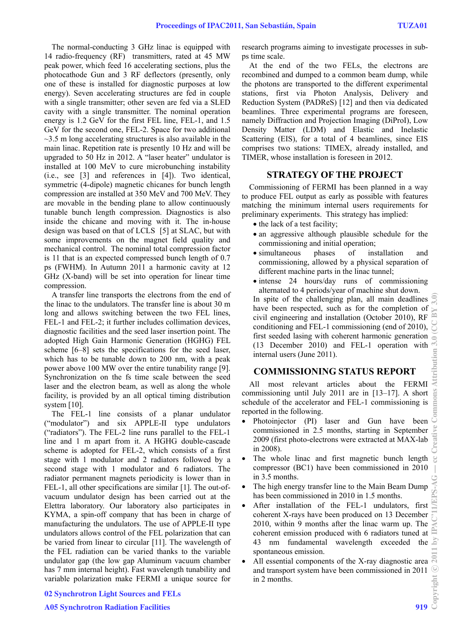The normal-conducting 3 GHz linac is equipped with 14 radio-frequency (RF) transmitters, rated at 45 MW peak power, which feed 16 accelerating sections, plus the photocathode Gun and 3 RF deflectors (presently, only one of these is installed for diagnostic purposes at low energy). Seven accelerating structures are fed in couple with a single transmitter; other seven are fed via a SLED cavity with a single transmitter. The nominal operation energy is 1.2 GeV for the first FEL line, FEL-1, and 1.5 GeV for the second one, FEL-2. Space for two additional  $\sim$ 3.5 m long accelerating structures is also available in the main linac. Repetition rate is presently 10 Hz and will be upgraded to 50 Hz in 2012. A "laser heater" undulator is installed at 100 MeV to cure microbunching instability (i.e., see [3] and references in [4]). Two identical, symmetric (4-dipole) magnetic chicanes for bunch length compression are installed at 350 MeV and 700 MeV. They are movable in the bending plane to allow continuously tunable bunch length compression. Diagnostics is also inside the chicane and moving with it. The in-house design was based on that of LCLS [5] at SLAC, but with some improvements on the magnet field quality and mechanical control. The nominal total compression factor is 11 that is an expected compressed bunch length of 0.7 ps (FWHM). In Autumn 2011 a harmonic cavity at 12 GHz (X-band) will be set into operation for linear time compression.

A transfer line transports the electrons from the end of the linac to the undulators. The transfer line is about 30 m long and allows switching between the two FEL lines, FEL-1 and FEL-2; it further includes collimation devices, diagnostic facilities and the seed laser insertion point. The adopted High Gain Harmonic Generation (HGHG) FEL scheme [6–8] sets the specifications for the seed laser, which has to be tunable down to 200 nm, with a peak power above 100 MW over the entire tunability range [9]. Synchronization on the fs time scale between the seed laser and the electron beam, as well as along the whole facility, is provided by an all optical timing distribution system [10].

The FEL-1 line consists of a planar undulator ("modulator") and six APPLE-II type undulators ("radiators"). The FEL-2 line runs parallel to the FEL-1 line and 1 m apart from it. A HGHG double-cascade scheme is adopted for FEL-2, which consists of a first stage with 1 modulator and 2 radiators followed by a second stage with 1 modulator and 6 radiators. The radiator permanent magnets periodicity is lower than in FEL-1, all other specifications are similar [1]. The out-ofvacuum undulator design has been carried out at the Elettra laboratory. Our laboratory also participates in KYMA, a spin-off company that has been in charge of manufacturing the undulators. The use of APPLE-II type undulators allows control of the FEL polarization that can be varied from linear to circular [11]. The wavelength of the FEL radiation can be varied thanks to the variable undulator gap (the low gap Aluminum vacuum chamber has 7 mm internal height). Fast wavelength tunability and variable polarization make FERMI a unique source for research programs aiming to investigate processes in subps time scale.

At the end of the two FELs, the electrons are recombined and dumped to a common beam dump, while the photons are transported to the different experimental stations, first via Photon Analysis, Delivery and Reduction System (PADReS) [12] and then via dedicated beamlines. Three experimental programs are foreseen, namely Diffraction and Projection Imaging (DiProI), Low Density Matter (LDM) and Elastic and Inelastic Scattering (EIS), for a total of 4 beamlines, since EIS comprises two stations: TIMEX, already installed, and TIMER, whose installation is foreseen in 2012.

#### **STRATEGY OF THE PROJECT**

Commissioning of FERMI has been planned in a way to produce FEL output as early as possible with features matching the minimum internal users requirements for preliminary experiments. This strategy has implied:

- the lack of a test facility;
- an aggressive although plausible schedule for the commissioning and initial operation;
- simultaneous phases of installation and commissioning, allowed by a physical separation of different machine parts in the linac tunnel;
- intense 24 hours/day runs of commissioning alternated to 4 periods/year of machine shut down.

In spite of the challenging plan, all main deadlines have been respected, such as for the completion of civil engineering and installation (October 2010), RF conditioning and FEL-1 commissioning (end of 2010), first seeded lasing with coherent harmonic generation (13 December 2010) and FEL-1 operation with internal users (June 2011).

## **COMMISSIONING STATUS REPORT**

All most relevant articles about the FERMI commissioning until July 2011 are in [13–17]. A short schedule of the accelerator and FEL-1 commissioning is reported in the following.

- Photoinjector (PI) laser and Gun have been commissioned in 2.5 months, starting in September 2009 (first photo-electrons were extracted at MAX-lab in 2008).
- The whole linac and first magnetic bunch length compressor (BC1) have been commissioned in 2010 in 3.5 months.
- The high energy transfer line to the Main Beam Dump has been commissioned in 2010 in 1.5 months.
- After installation of the FEL-1 undulators, first coherent X-rays have been produced on 13 December 2010, within 9 months after the linac warm up. The coherent emission produced with 6 radiators tuned at 43 nm fundamental wavelength exceeded the spontaneous emission.
- All essential components of the X-ray diagnostic area and transport system have been commissioned in 2011  $\frac{6}{5}$ <br>in 2 months. in 2 months.

## 02 Synchrotron Light Sources and FELs

## **A05 Synchrotron Radiation Facilities**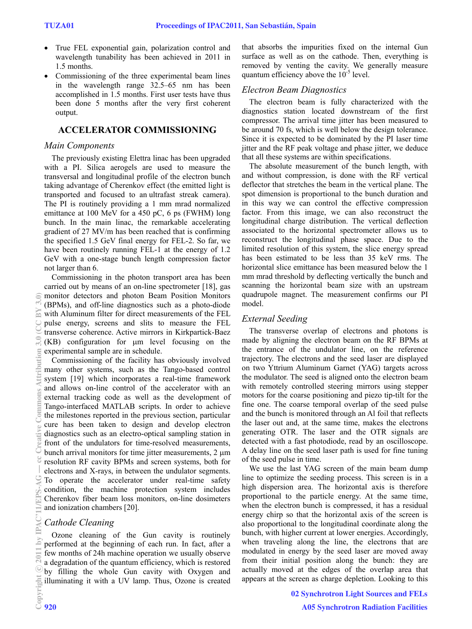- True FEL exponential gain, polarization control and wavelength tunability has been achieved in 2011 in 1.5 months.
- Commissioning of the three experimental beam lines in the wavelength range 32.5–65 nm has been accomplished in 1.5 months. First user tests have thus been done 5 months after the very first coherent output.

# **ACCELERATOR COMMISSIONING**

#### *Main Components*

The previously existing Elettra linac has been upgraded with a PI. Silica aerogels are used to measure the transversal and longitudinal profile of the electron bunch taking advantage of Cherenkov effect (the emitted light is transported and focused to an ultrafast streak camera). The PI is routinely providing a 1 mm mrad normalized emittance at 100 MeV for a 450 pC, 6 ps (FWHM) long bunch. In the main linac, the remarkable accelerating gradient of 27 MV/m has been reached that is confirming the specified 1.5 GeV final energy for FEL-2. So far, we have been routinely running FEL-1 at the energy of 1.2 GeV with a one-stage bunch length compression factor not larger than 6.

Commissioning in the photon transport area has been carried out by means of an on-line spectrometer [18], gas monitor detectors and photon Beam Position Monitors (BPMs), and off-line diagnostics such as a photo-diode with Aluminum filter for direct measurements of the FEL pulse energy, screens and slits to measure the FEL transverse coherence. Active mirrors in Kirkpartick-Baez  $(KB)$  configuration for  $\mu$ m level focusing on the experimental sample are in schedule.

Commissioning of the facility has obviously involved many other systems, such as the Tango-based control system [19] which incorporates a real-time framework and allows on-line control of the accelerator with an external tracking code as well as the development of Tango-interfaced MATLAB scripts. In order to achieve the milestones reported in the previous section, particular cure has been taken to design and develop electron diagnostics such as an electro-optical sampling station in front of the undulators for time-resolved measurements, bunch arrival monitors for time jitter measurements,  $2 \mu m$ resolution RF cavity BPMs and screen systems, both for electrons and X-rays, in between the undulator segments. To operate the accelerator under real-time safety condition, the machine protection system includes Cherenkov fiber beam loss monitors, on-line dosimeters and ionization chambers [20].

## *Cathode Cleaning*

Ozone cleaning of the Gun cavity is routinely performed at the beginning of each run. In fact, after a few months of 24h machine operation we usually observe a degradation of the quantum efficiency, which is restored by filling the whole Gun cavity with Oxygen and illuminating it with a UV lamp. Thus, Ozone is created that absorbs the impurities fixed on the internal Gun surface as well as on the cathode. Then, everything is removed by venting the cavity. We generally measure quantum efficiency above the  $10^{-5}$  level.

## *Electron Beam Diagnostics*

The electron beam is fully characterized with the diagnostics station located downstream of the first compressor. The arrival time jitter has been measured to be around 70 fs, which is well below the design tolerance. Since it is expected to be dominated by the PI laser time jitter and the RF peak voltage and phase jitter, we deduce that all these systems are within specifications.

The absolute measurement of the bunch length, with and without compression, is done with the RF vertical deflector that stretches the beam in the vertical plane. The spot dimension is proportional to the bunch duration and in this way we can control the effective compression factor. From this image, we can also reconstruct the longitudinal charge distribution. The vertical deflection associated to the horizontal spectrometer allows us to reconstruct the longitudinal phase space. Due to the limited resolution of this system, the slice energy spread has been estimated to be less than 35 keV rms. The horizontal slice emittance has been measured below the 1 mm mrad threshold by deflecting vertically the bunch and scanning the horizontal beam size with an upstream quadrupole magnet. The measurement confirms our PI model.

## *External Seeding*

The transverse overlap of electrons and photons is made by aligning the electron beam on the RF BPMs at the entrance of the undulator line, on the reference trajectory. The electrons and the seed laser are displayed on two Yttrium Aluminum Garnet (YAG) targets across the modulator. The seed is aligned onto the electron beam with remotely controlled steering mirrors using stepper motors for the coarse positioning and piezo tip-tilt for the fine one. The coarse temporal overlap of the seed pulse and the bunch is monitored through an Al foil that reflects the laser out and, at the same time, makes the electrons generating OTR. The laser and the OTR signals are detected with a fast photodiode, read by an oscilloscope. A delay line on the seed laser path is used for fine tuning of the seed pulse in time.

We use the last YAG screen of the main beam dump line to optimize the seeding process. This screen is in a high dispersion area. The horizontal axis is therefore proportional to the particle energy. At the same time, when the electron bunch is compressed, it has a residual energy chirp so that the horizontal axis of the screen is also proportional to the longitudinal coordinate along the bunch, with higher current at lower energies. Accordingly, when traveling along the line, the electrons that are modulated in energy by the seed laser are moved away from their initial position along the bunch: they are actually moved at the edges of the overlap area that appears at the screen as charge depletion. Looking to this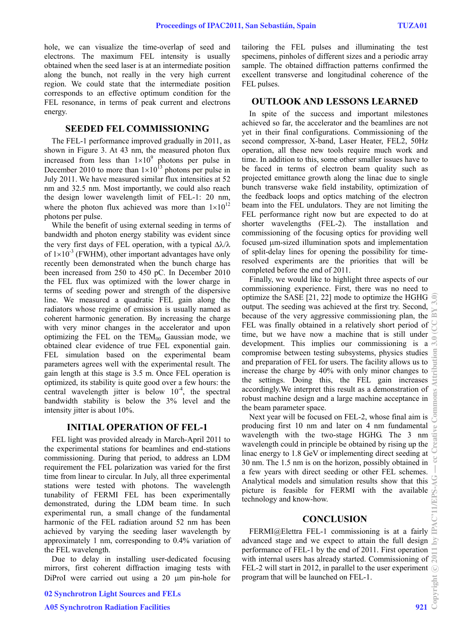hole, we can visualize the time-overlap of seed and electrons. The maximum FEL intensity is usually obtained when the seed laser is at an intermediate position along the bunch, not really in the very high current region. We could state that the intermediate position corresponds to an effective optimum condition for the FEL resonance, in terms of peak current and electrons energy.

#### **SEEDED FEL COMMISSIONING**

The FEL-1 performance improved gradually in 2011, as shown in Figure 3. At 43 nm, the measured photon flux increased from less than  $1 \times 10^9$  photons per pulse in December 2010 to more than  $1\times10^{13}$  photons per pulse in July 2011. We have measured similar flux intensities at 52 nm and 32.5 nm. Most importantly, we could also reach the design lower wavelength limit of FEL-1: 20 nm, where the photon flux achieved was more than  $1\times10^{12}$ photons per pulse.

While the benefit of using external seeding in terms of bandwidth and photon energy stability was evident since the very first days of FEL operation, with a typical  $\Delta\lambda/\lambda$ of  $1\times10^{-3}$  (FWHM), other important advantages have only recently been demonstrated when the bunch charge has been increased from 250 to 450 pC. In December 2010 the FEL flux was optimized with the lower charge in terms of seeding power and strength of the dispersive line. We measured a quadratic FEL gain along the radiators whose regime of emission is usually named as coherent harmonic generation. By increasing the charge with very minor changes in the accelerator and upon optimizing the FEL on the  $TEM_{00}$  Gaussian mode, we obtained clear evidence of true FEL exponential gain. FEL simulation based on the experimental beam parameters agrees well with the experimental result. The gain length at this stage is 3.5 m. Once FEL operation is optimized, its stability is quite good over a few hours: the central wavelength jitter is below  $10^{-4}$ , the spectral bandwidth stability is below the 3% level and the intensity jitter is about 10%.

#### **INITIAL OPERATION OF FEL-1**

FEL light was provided already in March-April 2011 to the experimental stations for beamlines and end-stations commissioning. During that period, to address an LDM requirement the FEL polarization was varied for the first time from linear to circular. In July, all three experimental stations were tested with photons. The wavelength tunability of FERMI FEL has been experimentally demonstrated, during the LDM beam time. In such experimental run, a small change of the fundamental harmonic of the FEL radiation around 52 nm has been achieved by varying the seeding laser wavelength by approximately 1 nm, corresponding to 0.4% variation of the FEL wavelength.

Due to delay in installing user-dedicated focusing mirrors, first coherent diffraction imaging tests with DiProI were carried out using a  $20 \mu m$  pin-hole for DiProI were carried out using a 20  $\mu$ m pin-hole for program that will be launched on FEL-1.<br> **02 Synchrotron Light Sources and FELs**<br> **A05 Synchrotron Radiation Facilities** 921

02 Synchrotron Light Sources and FELs

tailoring the FEL pulses and illuminating the test specimens, pinholes of different sizes and a periodic array sample. The obtained diffraction patterns confirmed the excellent transverse and longitudinal coherence of the FEL pulses.

#### **OUTLOOK AND LESSONS LEARNED**

In spite of the success and important milestones achieved so far, the accelerator and the beamlines are not yet in their final configurations. Commissioning of the second compressor, X-band, Laser Heater, FEL2, 50Hz operation, all these new tools require much work and time. In addition to this, some other smaller issues have to be faced in terms of electron beam quality such as projected emittance growth along the linac due to single bunch transverse wake field instability, optimization of the feedback loops and optics matching of the electron beam into the FEL undulators. They are not limiting the FEL performance right now but are expected to do at shorter wavelengths (FEL-2). The installation and commissioning of the focusing optics for providing well focused m-sized illumination spots and implementation of split-delay lines for opening the possibility for timeresolved experiments are the priorities that will be completed before the end of 2011.

Finally, we would like to highlight three aspects of our commissioning experience. First, there was no need to optimize the SASE [21, 22] mode to optimize the HGHG output. The seeding was achieved at the first try. Second, because of the very aggressive commissioning plan, the FEL was finally obtained in a relatively short period of time, but we have now a machine that is still under development. This implies our commissioning is a compromise between testing subsystems, physics studies and preparation of FEL for users. The facility allows us to increase the charge by 40% with only minor changes to the settings. Doing this, the FEL gain increases accordingly.We interpret this result as a demonstration of robust machine design and a large machine acceptance in the beam parameter space.

Next year will be focused on FEL-2, whose final aim is producing first 10 nm and later on 4 nm fundamental wavelength with the two-stage HGHG. The 3 nm wavelength could in principle be obtained by rising up the linac energy to 1.8 GeV or implementing direct seeding at 30 nm. The 1.5 nm is on the horizon, possibly obtained in a few years with direct seeding or other FEL schemes. Analytical models and simulation results show that this picture is feasible for FERMI with the available technology and know-how.

#### **CONCLUSION**

FERMI@Elettra FEL-1 commissioning is at a fairly advanced stage and we expect to attain the full design performance of FEL-1 by the end of 2011. First operation with internal users has already started. Commissioning of  $\approx$ FEL-2 will start in 2012, in parallel to the user experiment  $\odot$ program that will be launched on FEL-1.